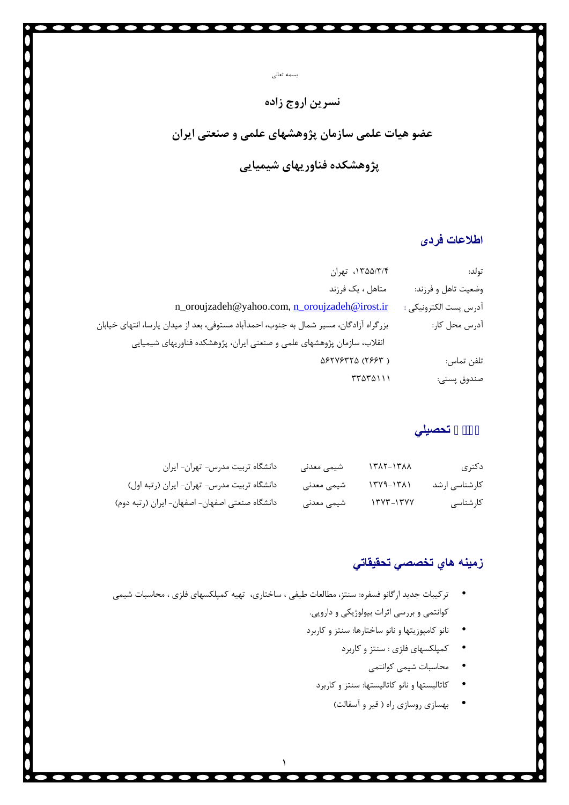# **نسرین اروج زاده**

بسمه تعالی

**عضو هیات علمی سازمان پژوهشهاي علمی و صنعتی ایران**

**پژوهشکده فناوریهاي شیمیایی**

# **اطلاعات فردی**

| تولد:                 | ١٣۵۵/٣/۴، تهران                                                                        |  |
|-----------------------|----------------------------------------------------------------------------------------|--|
| وضعيت تاهل و فرزند:   | متاهل ، یک فرزند                                                                       |  |
| آدرس پست الكترونيكي : | n_oroujzadeh@yahoo.com, n_oroujzadeh@irost.ir                                          |  |
| آدرس محل کار:         | بزرگراه آزادگان، مسیر شمال به جنوب، احمدآباد مستوفی، بعد از میدان پارسا، انتهای خیابان |  |
|                       | انقلاب، سازمان پژوهشهای علمی و صنعتی ایران، پژوهشکده فناوریهای شیمیایی                 |  |
| تلفن تماس:            | $\Delta$ ۶۲۷۶۳۲ $\Delta$ (۲۶۶۳)                                                        |  |
| صندوق پستى:           | ۳۳۵۳۵۱۱۱                                                                               |  |

**سوابق تحصیلي**

| دكترى         | $\frac{1}{\sqrt{2}}$ | شیمی معدنی | دانشگاه تربیت مدرس- تهران- ایران               |
|---------------|----------------------|------------|------------------------------------------------|
| كارشناسى ارشد | ۱۳۷۹-۱۳۸۱            | شیمی معدنی | دانشگاه تربیت مدرس- تهران- ایران (رتبه اول)    |
| كارشناسى      | $17YY-17YY$          | شیمی معدنی | دانشگاه صنعتی اصفهان- اصفهان- ایران (رتبه دوم) |

### **زمینھ ھاي تخصصي تحقیقاتي**

 ترکیبات جدید ارگانو فسفره: سنتز، مطالعات طیفی ، ساختاري، تهیه کمپلکسهاي فلزي ، محاسبات شیمی کوانتمی و بررسی اثرات بیولوژیکی و دارویی.

١

- نانو کامپوزیتها و نانو ساختارها: سنتز و کاربرد
	- کمپلکسهاي فلزي : سنتز و کاربرد
		- محاسبات شیمی کوانتمی
	- کاتالیستها و نانو کاتالیستها: سنتز و کاربرد
		- بهسازي روسازي راه ( قیر و آسفالت)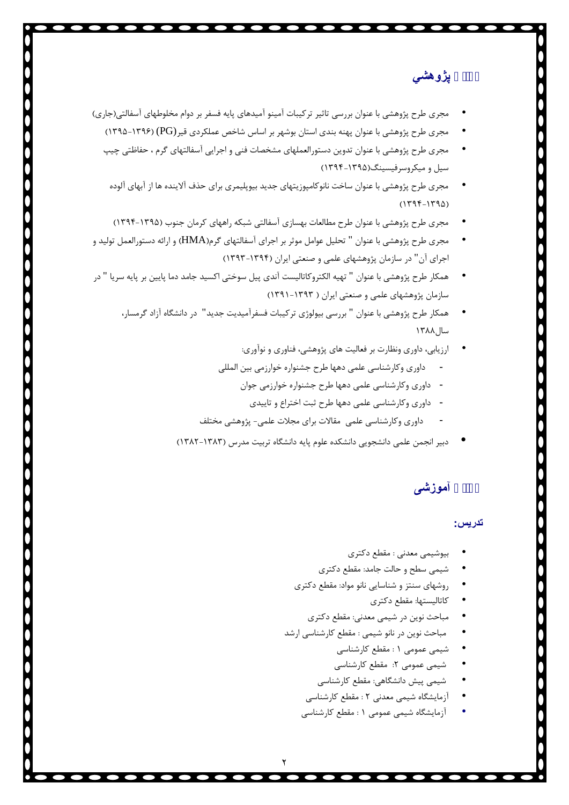**سوابق پژوھشي**

- مجري طرح پژوهشی با عنوان بررسی تاثیر ترکیبات آمینو آمیدهاي پایه فسفر بر دوام مخلوطهاي آسفالتی(جاري)
	- مجری طرح پژوهشی با عنوان پهنه بندی استان بوشهر بر اساس شاخص عملکردی قیر $(\rm{PG})$  (۱۳۹۶–۱۳۹۵)
	- مجري طرح پژوهشی با عنوان تدوین دستورالعملهاي مشخصات فنی و اجرایی آسفالتهاي گرم ، حفاظتی چیپ سیل و میکروسرفیسینگ(-1395 1394)
	- مجري طرح پژوهشی با عنوان ساخت نانوکامپوزیتهاي جدید بیوپلیمري براي حذف آلاینده ها از آبهاي آلوده  $(1795-1790)$
	- مجري طرح پژوهشی با عنوان طرح مطالعات بهسازي آسفالتی شبکه راههاي کرمان جنوب (1394-1395)
- مجري طرح پژوهشی با عنوان " تحلیل عوامل موثر بر اجراي آسفالتهاي گرم(HMA (و ارائه دستورالعمل تولید و اجراي آن" در سازمان پژوهشهاي علمی و صنعتی ایران (1393-1394)
- همکار طرح پژوهشی با عنوان " تهیه الکتروکاتالیست آندي پیل سوختی اکسید جامد دما پایین بر پایه سریا " در سازمان پژوهشهای علمی و صنعتی ایران ( ۱۳۹۳-۱۳۹۱)
	- همکار طرح پژوهشی با عنوان " بررسی بیولوژی ترکیبات فسفرآمیدیت جدید" در دانشگاه آزاد گرمسار،<br>سال ۱۳۸۸
		- داوري وکارشناسی علمی دهها طرح جشنواره خوارزمی بین المللی ارزیابی، داوري ونظارت بر فعالیت هاي پژوهشی، فناوري و نوآوري:
		- - -
		- داوری وکارشناسی علمی دهها طرح جشنواره خوارزمی جوان<br>- داوری وکارشناسی علمی دهها طرح ثبت اختراع و تاییدی<br>- داوری وکارشناسی علمی مقالات برای مجلات علمی- پژوهشی مختلف
		- دبیر انجمن علمی دانشجویی دانشکده علوم پایه دانشگاه تربیت مدرس (1382-1383)

**سوابق آموزشی**

#### **تدریس:**

- 
- 
- بیوشیمی معدنی : مقطع دکتری<br>شیمی سطح و حالت جامد: مقطع دکتری<br>روشهای سنتز و شناسایی نانو مواد: مقطع دکتری<br>مباحث نوین در شیمی معدنی: مقطع دکتری
	-
	-
- مباحث نوین در نانو شیمی : مقطع کارشناسی ارشد<br>• شیمی عمومی ۱ : مقطع کارشناسی<br>• شیمی پیش دانشگاهی: مقطع کارشناسی<br>• آزمایشگاه شیمی معدنی ۲ : مقطع کارشناسی<br>• آزمایشگاه شیمی معدنی ۲ : مقطع کارشناسی
	-
	-
	-
	-
	-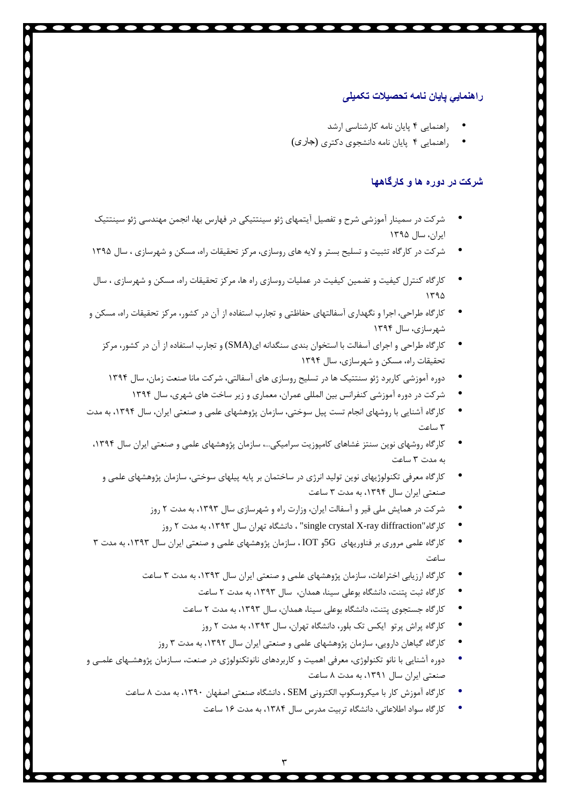#### **راھنمایي پایان نامھ تحصیلات تکمیلی**

- راهنمایی 4 پایان نامه کارشناسی ارشد
- راهنمایی 4 پایان نامه دانشجوي دکتري (جاری)

### **شرکت در دوره ھا و کارگاھھا**

- شرکت در سمینار آموزشی شرح و تفصیل آیتمهاي ژئو سینتتیکی در فهارس بها، انجمن مهندسی ژئو سینتتیک ایران، سال 1395
- شرکت در کارگاه تثبیت و تسلیح بستر و لایه هاي روسازي، مرکز تحقیقات راه، مسکن و شهرسازي ، سال 1395
- کارگاه کنترل کیفیت و تضمین کیفیت در عملیات روسازي راه ها، مرکز تحقیقات راه، مسکن و شهرسازي ، سال  $142$
- کارگاه طراحی، اجرا و نگهداري آسفالتهاي حفاظتی و تجارب استفاده از آن در کشور، مرکز تحقیقات راه، مسکن و شهرسازي، سال 1394
	- کارگاه طراحی و اجراي آسفالت با استخوان بندي سنگدانه اي(SMA (و تجارب استفاده از آن در کشور، مرکز تحقیقات راه، مسکن و شهرسازي، سال 1394
		- دوره آموزشی کاربرد ژئو سنتتیک ها در تسلیح روسازي هاي آسفالتی، شرکت مانا صنعت زمان، سال 1394
			- شرکت در دوره آموزشی کنفرانس بین المللی عمران، معماري و زیر ساخت هاي شهري، سال 1394
- کارگاه آشنایی با روشهای انجام تست پیل سوختی، سازمان پژوهشهای علمی و صنعتی ایران، سال ۱۳۹۴، به مدت<br>۳ ساعت
	- کارگاه روشهای نوین سنتز غشاهای کامپوزیت سرامیکی...، سازمان پژوهشهای علمی و صنعتی ایران سال ۱۳۹۴،<br>به مدت ۳ ساعت
		- کارگاه معرفی تکنولوژیهای نوین تولید انرژی در ساختمان بر پایه پیلهای سوختی، سازمان پژوهشهای علمی و<br>صنعتی ایران سال ۱۳۹۴، به مدت ۳ ساعت
			- شرکت در همایش ملی قیر و آسفالت ایران، وزارت راه و شهرسازي سال ،1393 به مدت 2 روز
				- کارگاه"single crystal X-ray diffraction" ، دانشگاه تهران سال ۱۳۹۳، به مدت ۲ روز
	- کارگاه علمی مروری بر فناوریهای 5Gو IOT ، سازمان پژوهشهای علمی و صنعتی ایران سال ۱۳۹۳، به مدت ۳<br>ساعت
		- کارگاه ارزیابی اختراعات، سازمان پژوهشهای علمی و صنعتی ایران سال ۱۳۹۳، به مدت ۳ ساعت<br>کارگاه ثبت پتنت، دانشگاه بوعلی سینا، همدان، سال ۱۳۹۳، به مدت ۲ ساعت<br>کارگاه جستجوی پتنت، دانشگاه بوعلی سینا، همدان، سال ۱۳۹۳، به مدت ۲ ساع
			-
			- - کارگاه پراش پرتو ایکس تک بلور، دانشگاه تهران، سال ،1393 به مدت 2 روز
			- کارگاه گیاهان دارویی، سازمان پژوهشهاي علمی و صنعتی ایران سال ،1392 به مدت 3 روز
- دوره آشنایی با نانو تکنولوژی، معرفی اهمیت و کاربردهای نانوتکنولوژی در صنعت، سـازمان پژوهشـهای علمـی و<br>صنعتی ایران سال ۱۳۹۱، به مدت ۸ ساعت
	- کارگاه آموزش کار با میکروسکوپ الکترونی SEM ، دانشگاه صنعتی اصفهان ۱۳۹۰، به مدت ۸ ساعت<br>کارگاه سواد اطلاعاتی، دانشگاه تربیت مدرس سال ۱۳۸۴، به مدت ۱۶ ساعت
		-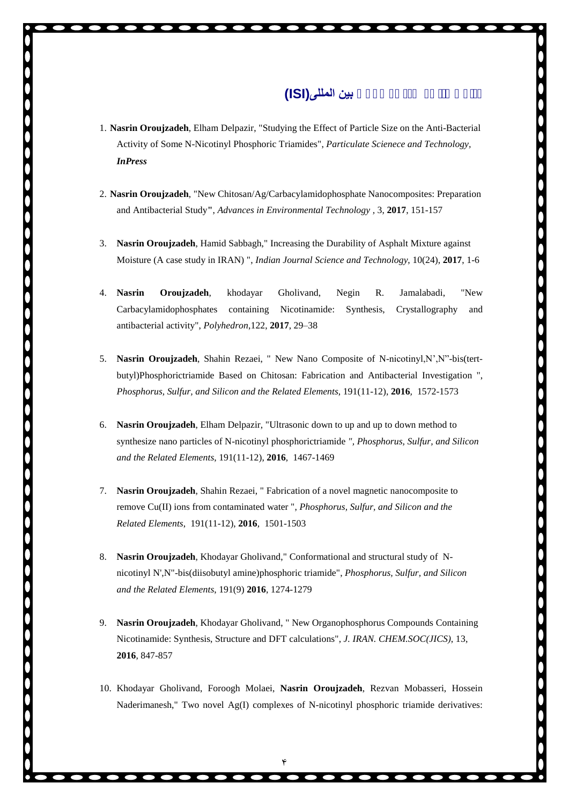## **مقالات منتشر شده در مجلات بین المللی(ISI(**

- 1. **Nasrin Oroujzadeh**, Elham Delpazir, "Studying the Effect of Particle Size on the Anti-Bacterial Activity of Some N-Nicotinyl Phosphoric Triamides", *Particulate Scienece and Technology, InPress*
- 2. **Nasrin Oroujzadeh**, "New Chitosan/Ag/Carbacylamidophosphate Nanocomposites: Preparation and Antibacterial Study**"**, *Advances in Environmental Technology ,* 3, **2017**, 151-157
- 3. **Nasrin Oroujzadeh**, Hamid Sabbagh," Increasing the Durability of Asphalt Mixture against Moisture (A case study in IRAN) ", *Indian Journal Science and Technology*, 10(24), **2017**, 1-6
- 4. **Nasrin Oroujzadeh**, khodayar Gholivand, Negin R. Jamalabadi, "New Carbacylamidophosphates containing Nicotinamide: Synthesis, Crystallography and antibacterial activity", *Polyhedron*,122, **2017**, 29–38
- 5. **Nasrin Oroujzadeh**, Shahin Rezaei, " New Nano Composite of N-nicotinyl,N',N"-bis(tert butyl)Phosphorictriamide Based on Chitosan: Fabrication and Antibacterial Investigation ", *Phosphorus, Sulfur, and Silicon and the Related Elements*, 191(11-12), **2016***,* 1572-1573
- 6. **Nasrin Oroujzadeh**, Elham Delpazir, "Ultrasonic down to up and up to down method to synthesize nano particles of N-nicotinyl phosphorictriamide *", Phosphorus, Sulfur, and Silicon and the Related Elements*, 191(11-12), **2016***,* 1467-1469
- 7. **Nasrin Oroujzadeh**, Shahin Rezaei, " Fabrication of a novel magnetic nanocomposite to remove Cu(II) ions from contaminated water ", *Phosphorus, Sulfur, and Silicon and the Related Elements*, 191(11-12), **2016***,* 1501-1503
- 8. **Nasrin Oroujzadeh**, Khodayar Gholivand," Conformational and structural study of N nicotinyl N',N"-bis(diisobutyl amine)phosphoric triamide", *Phosphorus, Sulfur, and Silicon and the Related Elements*, 191(9) **2016**, 1274-1279
- 9. **Nasrin Oroujzadeh**, Khodayar Gholivand, " New Organophosphorus Compounds Containing Nicotinamide: Synthesis, Structure and DFT calculations", *J. IRAN. CHEM.SOC(JICS)*, 13, **2016**, 847-857
- 10. Khodayar Gholivand, Foroogh Molaei, **Nasrin Oroujzadeh**, Rezvan Mobasseri, Hossein Naderimanesh," Two novel Ag(I) complexes of N-nicotinyl phosphoric triamide derivatives: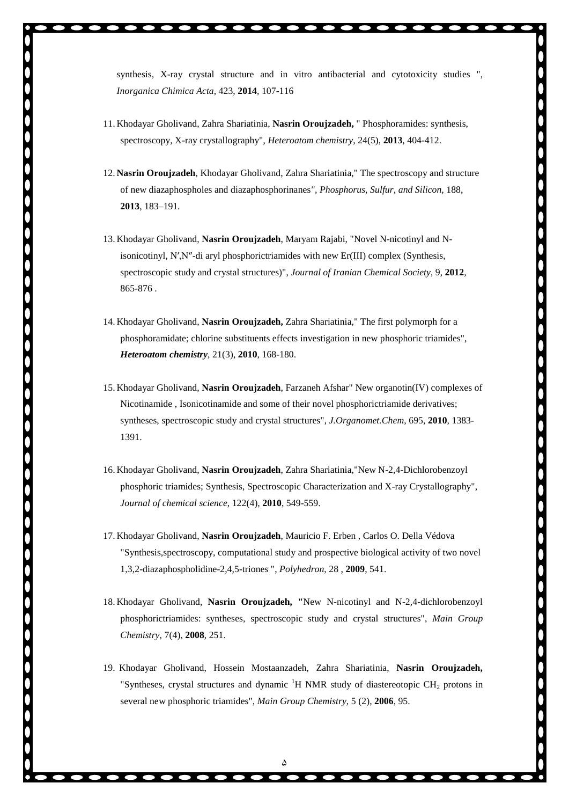- 11. Khodayar Gholivand, Zahra Shariatinia, **Nasrin Oroujzadeh,** " Phosphoramides: synthesis, spectroscopy, X-ray crystallography", *Heteroatom chemistry*, 24(5), **2013**, 404-412.
- 12. **Nasrin Oroujzadeh**, Khodayar Gholivand, Zahra Shariatinia," The spectroscopy and structure of new diazaphospholes and diazaphosphorinanes*", Phosphorus, Sulfur, and Silicon,* 188, **2013**, 183–191*.*
- 13. Khodayar Gholivand, **Nasrin Oroujzadeh**, Maryam Rajabi, "Novel N-nicotinyl and Nisonicotinyl, N′,N″-di aryl phosphorictriamides with new Er(III) complex (Synthesis, spectroscopic study and crystal structures)", *Journal of Iranian Chemical Society*, 9, **2012**, 865-876 .
- 14. Khodayar Gholivand, **Nasrin Oroujzadeh,** Zahra Shariatinia," The first polymorph for a phosphoramidate; chlorine substituents effects investigation in new phosphoric triamides", *Heteroatom chemistry*, 21(3), **2010**, 168-180.
- 15. Khodayar Gholivand, **Nasrin Oroujzadeh**, Farzaneh Afshar" New organotin(IV) complexes of Nicotinamide , Isonicotinamide and some of their novel phosphorictriamide derivatives; syntheses, spectroscopic study and crystal structures", *J.Organomet.Chem*, 695, **2010**, 1383- 1391.
- 16. Khodayar Gholivand, **Nasrin Oroujzadeh**, Zahra Shariatinia,"New N-2,4-Dichlorobenzoyl phosphoric triamides; Synthesis, Spectroscopic Characterization and X-ray Crystallography", *Journal of chemical science*, 122(4), **2010**, 549-559.
- 17. Khodayar Gholivand, **Nasrin Oroujzadeh**, Mauricio F. Erben , Carlos O. Della Védova "Synthesis,spectroscopy, computational study and prospective biological activity of two novel 1,3,2-diazaphospholidine-2,4,5-triones ", *Polyhedron*, 28 , **2009**, 541.
- 18. Khodayar Gholivand, **Nasrin Oroujzadeh, "**New N-nicotinyl and N-2,4-dichlorobenzoyl phosphorictriamides: syntheses, spectroscopic study and crystal structures", *Main Group Chemistry*, 7(4), **2008**, 251.
- 19. Khodayar Gholivand, Hossein Mostaanzadeh, Zahra Shariatinia, **Nasrin Oroujzadeh,** "Syntheses, crystal structures and dynamic  ${}^{1}H$  NMR study of diastereotopic CH<sub>2</sub> protons in several new phosphoric triamides", *Main Group Chemistry*, 5 (2), **2006**, 95.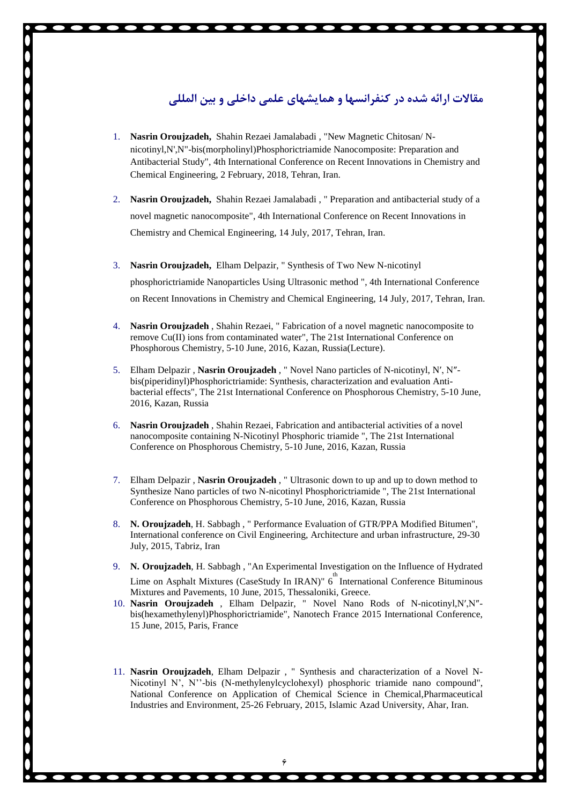### **مقالات ارائه شده در کنفرانسها و همایشهاي علمی داخلی و بین المللی**

- 1. **Nasrin Oroujzadeh,** Shahin Rezaei Jamalabadi , "New Magnetic Chitosan/ N nicotinyl,N',N"-bis(morpholinyl)Phosphorictriamide Nanocomposite: Preparation and Antibacterial Study", 4th International Conference on Recent Innovations in Chemistry and Chemical Engineering, 2 February, 2018, Tehran, Iran.
- 2. **Nasrin Oroujzadeh,** Shahin Rezaei Jamalabadi , " Preparation and antibacterial study of a novel magnetic nanocomposite", 4th International Conference on Recent Innovations in Chemistry and Chemical Engineering, 14 July, 2017, Tehran, Iran.
- 3. **Nasrin Oroujzadeh,** Elham Delpazir, " Synthesis of Two New N-nicotinyl phosphorictriamide Nanoparticles Using Ultrasonic method ", 4th International Conference on Recent Innovations in Chemistry and Chemical Engineering, 14 July, 2017, Tehran, Iran.
- 4. **Nasrin Oroujzadeh** , Shahin Rezaei, " Fabrication of a novel magnetic nanocomposite to remove Cu(II) ions from contaminated water", The 21st International Conference on Phosphorous Chemistry, 5-10 June, 2016, Kazan, Russia(Lecture).
- 5. Elham Delpazir , **Nasrin Oroujzadeh** , " Novel Nano particles of N-nicotinyl, N′, N″ bis(piperidinyl)Phosphorictriamide: Synthesis, characterization and evaluation Anti bacterial effects", The 21st International Conference on Phosphorous Chemistry, 5-10 June, 2016, Kazan, Russia
- 6. **Nasrin Oroujzadeh** , Shahin Rezaei, Fabrication and antibacterial activities of a novel nanocomposite containing N-Nicotinyl Phosphoric triamide ", The 21st International Conference on Phosphorous Chemistry, 5-10 June, 2016, Kazan, Russia
- 7. Elham Delpazir , **Nasrin Oroujzadeh** , " Ultrasonic down to up and up to down method to Synthesize Nano particles of two N-nicotinyl Phosphorictriamide ", The 21st International Conference on Phosphorous Chemistry, 5-10 June, 2016, Kazan, Russia
- 8. **N. Oroujzadeh**, H. Sabbagh , " Performance Evaluation of GTR/PPA Modified Bitumen", International conference on Civil Engineering, Architecture and urban infrastructure, 29-30 July, 2015, Tabriz, Iran
- 9. **N. Oroujzadeh**, H. Sabbagh , "An Experimental Investigation on the Influence of Hydrated Lime on Asphalt Mixtures (CaseStudy In IRAN)" 6<sup>th</sup> International Conference Bituminous Mixtures and Pavements, 10 June, 2015, Thessaloniki, Greece.
- 10. **Nasrin Oroujzadeh** , Elham Delpazir, " Novel Nano Rods of N-nicotinyl,N′,N″ bis(hexamethylenyl)Phosphorictriamide", Nanotech France 2015 International Conference, 15 June, 2015, Paris, France
- 11. **Nasrin Oroujzadeh**, Elham Delpazir , " Synthesis and characterization of a Novel N- Nicotinyl N', N''-bis (N-methylenylcyclohexyl) phosphoric triamide nano compound", National Conference on Application of Chemical Science in Chemical,Pharmaceutical Industries and Environment, 25-26 February, 2015, Islamic Azad University, Ahar, Iran.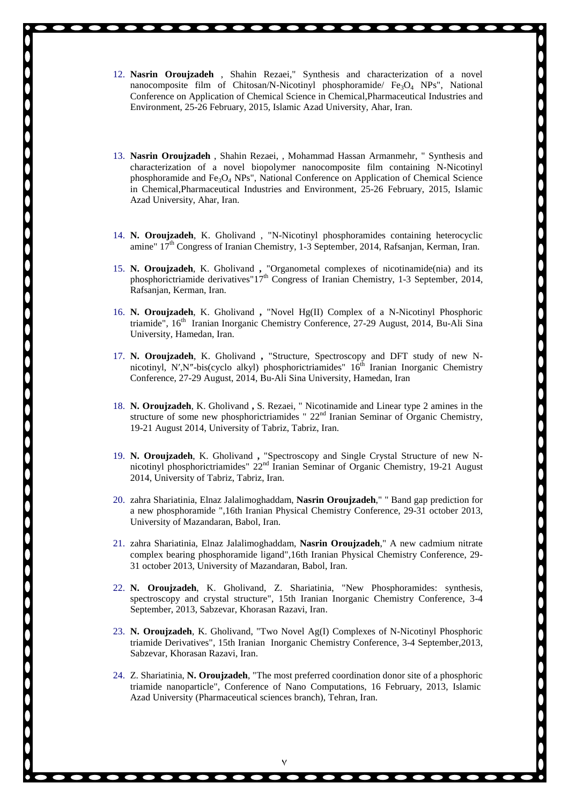- 12. **Nasrin Oroujzadeh** , Shahin Rezaei," Synthesis and characterization of a novel nanocomposite film of Chitosan/N-Nicotinyl phosphoramide/  $Fe<sub>3</sub>O<sub>4</sub>$  NPs", National Conference on Application of Chemical Science in Chemical,Pharmaceutical Industries and Environment, 25-26 February, 2015, Islamic Azad University, Ahar, Iran.
- 13. **Nasrin Oroujzadeh** , Shahin Rezaei, , Mohammad Hassan Armanmehr, " Synthesis and characterization of a novel biopolymer nanocomposite film containing N-Nicotinyl phosphoramide and  $Fe<sub>3</sub>O<sub>4</sub>$  NPs", National Conference on Application of Chemical Science in Chemical,Pharmaceutical Industries and Environment, 25-26 February, 2015, Islamic Azad University, Ahar, Iran.
- 14. **N. Oroujzadeh**, K. Gholivand , "N-Nicotinyl phosphoramides containing heterocyclic amine" 17<sup>th</sup> Congress of Iranian Chemistry, 1-3 September, 2014, Rafsanjan, Kerman, Iran.
- 15. **N. Oroujzadeh**, K. Gholivand **,** "Organometal complexes of nicotinamide(nia) and its phosphorictriamide derivatives" $17<sup>th</sup>$  Congress of Iranian Chemistry, 1-3 September, 2014, Rafsanjan, Kerman, Iran.
- 16. **N. Oroujzadeh**, K. Gholivand **,** "Novel Hg(II) Complex of a N-Nicotinyl Phosphoric triamide", 16<sup>th</sup> Iranian Inorganic Chemistry Conference, 27-29 August, 2014, Bu-Ali Sina University, Hamedan, Iran.
- 17. **N. Oroujzadeh**, K. Gholivand **,** "Structure, Spectroscopy and DFT study of new N nicotinyl, N', N"-bis(cyclo alkyl) phosphorictriamides"  $16<sup>th</sup>$  Iranian Inorganic Chemistry Conference, 27-29 August, 2014, Bu-Ali Sina University, Hamedan, Iran
- 18. **N. Oroujzadeh**, K. Gholivand **,** S. Rezaei, " Nicotinamide and Linear type 2 amines in the structure of some new phosphorictriamides "  $22<sup>nd</sup>$  Iranian Seminar of Organic Chemistry, 19-21 August 2014, University of Tabriz, Tabriz, Iran.
- 19. **N. Oroujzadeh**, K. Gholivand **,** "Spectroscopy and Single Crystal Structure of new N nicotinyl phosphorictriamides"  $22<sup>nd</sup>$  Iranian Seminar of Organic Chemistry, 19-21 August 2014, University of Tabriz, Tabriz, Iran.
- 20. zahra Shariatinia, Elnaz Jalalimoghaddam, **Nasrin Oroujzadeh**," " Band gap prediction for a new phosphoramide ",16th Iranian Physical Chemistry Conference, 29-31 october 2013, University of Mazandaran, Babol, Iran.
- 21. zahra Shariatinia, Elnaz Jalalimoghaddam, **Nasrin Oroujzadeh**," A new cadmium nitrate complex bearing phosphoramide ligand",16th Iranian Physical Chemistry Conference, 29- 31 october 2013, University of Mazandaran, Babol, Iran.
- 22. **N. Oroujzadeh**, K. Gholivand, Z. Shariatinia, "New Phosphoramides: synthesis, spectroscopy and crystal structure", 15th Iranian Inorganic Chemistry Conference, 3-4 September, 2013, Sabzevar, Khorasan Razavi, Iran.
- 23. **N. Oroujzadeh**, K. Gholivand, "Two Novel Ag(I) Complexes of N-Nicotinyl Phosphoric triamide Derivatives", 15th Iranian Inorganic Chemistry Conference, 3-4 September,2013, Sabzevar, Khorasan Razavi, Iran.
- 24. Z. Shariatinia, **N. Oroujzadeh**, "The most preferred coordination donor site of a phosphoric triamide nanoparticle", Conference of Nano Computations, 16 February, 2013, Islamic Azad University (Pharmaceutical sciences branch), Tehran, Iran.

٧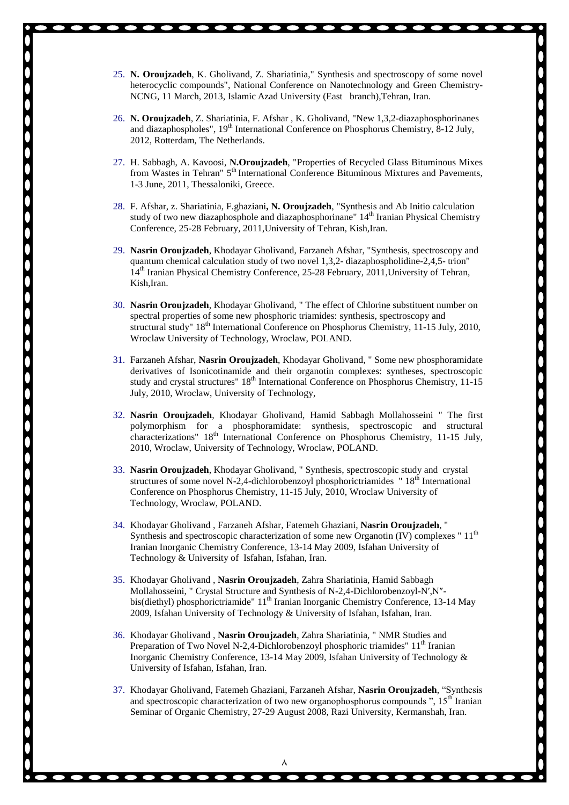- 25. **N. Oroujzadeh**, K. Gholivand, Z. Shariatinia," Synthesis and spectroscopy of some novel heterocyclic compounds", National Conference on Nanotechnology and Green Chemistry- NCNG, 11 March, 2013, Islamic Azad University (East branch),Tehran, Iran.
- 26. **N. Oroujzadeh**, Z. Shariatinia, F. Afshar , K. Gholivand, "New 1,3,2-diazaphosphorinanes and diazaphospholes", 19<sup>th</sup> International Conference on Phosphorus Chemistry, 8-12 July, 2012, Rotterdam, The Netherlands.
- 27. H. Sabbagh, A. Kavoosi, **N.Oroujzadeh**, "Properties of Recycled Glass Bituminous Mixes from Wastes in Tehran" 5<sup>th</sup> International Conference Bituminous Mixtures and Pavements, 1-3 June, 2011, Thessaloniki, Greece.
- 28. F. Afshar, z. Shariatinia, F.ghaziani**, N. Oroujzadeh**, "Synthesis and Ab Initio calculation study of two new diazaphosphole and diazaphosphorinane"  $14<sup>th</sup>$  Iranian Physical Chemistry Conference, 25-28 February, 2011,University of Tehran, Kish,Iran.
- 29. **Nasrin Oroujzadeh**, Khodayar Gholivand, Farzaneh Afshar, "Synthesis, spectroscopy and quantum chemical calculation study of two novel 1,3,2- diazaphospholidine-2,4,5- trion" 14<sup>th</sup> Iranian Physical Chemistry Conference, 25-28 February, 2011, University of Tehran, Kish,Iran.
- 30. **Nasrin Oroujzadeh**, Khodayar Gholivand, " The effect of Chlorine substituent number on spectral properties of some new phosphoric triamides: synthesis, spectroscopy and structural study"  $18<sup>th</sup>$  International Conference on Phosphorus Chemistry, 11-15 July, 2010, Wroclaw University of Technology, Wroclaw, POLAND.
- 31. Farzaneh Afshar, **Nasrin Oroujzadeh**, Khodayar Gholivand, " Some new phosphoramidate derivatives of Isonicotinamide and their organotin complexes: syntheses, spectroscopic study and crystal structures" 18<sup>th</sup> International Conference on Phosphorus Chemistry, 11-15 July, 2010, Wroclaw, University of Technology,
- 32. **Nasrin Oroujzadeh**, Khodayar Gholivand, Hamid Sabbagh Mollahosseini " The first polymorphism for a phosphoramidate: synthesis, spectroscopic and structural characterizations" 18<sup>th</sup> International Conference on Phosphorus Chemistry, 11-15 July, 2010, Wroclaw, University of Technology, Wroclaw, POLAND.
- 33. **Nasrin Oroujzadeh**, Khodayar Gholivand, " Synthesis, spectroscopic study and crystal structures of some novel N-2,4-dichlorobenzoyl phosphorictriamides " $18<sup>th</sup>$  International Conference on Phosphorus Chemistry, 11-15 July, 2010, Wroclaw University of Technology, Wroclaw, POLAND.
- 34. Khodayar Gholivand , Farzaneh Afshar, Fatemeh Ghaziani, **Nasrin Oroujzadeh**, " Synthesis and spectroscopic characterization of some new Organotin (IV) complexes " $11<sup>th</sup>$ Iranian Inorganic Chemistry Conference, 13-14 May 2009, Isfahan University of Technology & University of Isfahan, Isfahan, Iran.
- 35. Khodayar Gholivand , **Nasrin Oroujzadeh**, Zahra Shariatinia, Hamid Sabbagh Mollahosseini, " Crystal Structure and Synthesis of N-2,4-Dichlorobenzoyl-N′,N″ bis(diethyl) phosphorictriamide" 11<sup>th</sup> Iranian Inorganic Chemistry Conference, 13-14 May 2009, Isfahan University of Technology & University of Isfahan, Isfahan, Iran.
- 36. Khodayar Gholivand , **Nasrin Oroujzadeh**, Zahra Shariatinia, " NMR Studies and Preparation of Two Novel N-2,4-Dichlorobenzoyl phosphoric triamides"  $11<sup>th</sup>$  Iranian Inorganic Chemistry Conference, 13-14 May 2009, Isfahan University of Technology & University of Isfahan, Isfahan, Iran.
- 37. Khodayar Gholivand, Fatemeh Ghaziani, Farzaneh Afshar, **Nasrin Oroujzadeh**, "Synthesis and spectroscopic characterization of two new organophosphorus compounds  $"$ , 15<sup>th</sup> Iranian Seminar of Organic Chemistry, 27-29 August 2008, Razi University, Kermanshah, Iran.